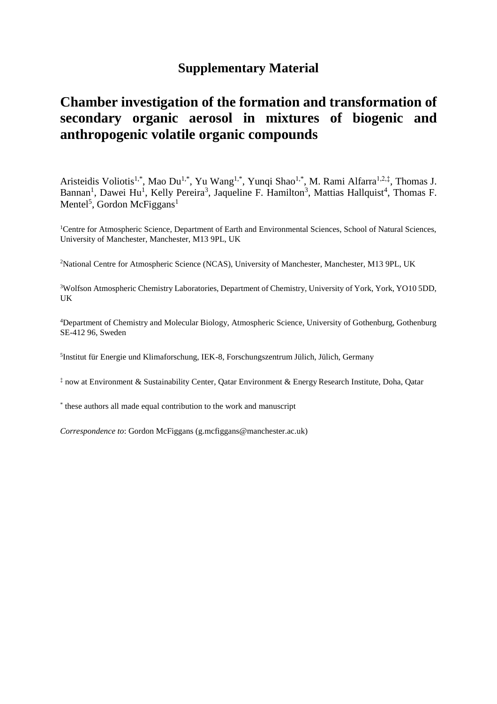## **Supplementary Material**

## **Chamber investigation of the formation and transformation of secondary organic aerosol in mixtures of biogenic and anthropogenic volatile organic compounds**

Aristeidis Voliotis<sup>1,\*</sup>, Mao Du<sup>1,\*</sup>, Yu Wang<sup>1,\*</sup>, Yunqi Shao<sup>1,\*</sup>, M. Rami Alfarra<sup>1,2,‡</sup>, Thomas J. Bannan<sup>1</sup>, Dawei Hu<sup>1</sup>, Kelly Pereira<sup>3</sup>, Jaqueline F. Hamilton<sup>3</sup>, Mattias Hallquist<sup>4</sup>, Thomas F. Mentel<sup>5</sup>, Gordon McFiggans<sup>1</sup>

<sup>1</sup>Centre for Atmospheric Science, Department of Earth and Environmental Sciences, School of Natural Sciences, University of Manchester, Manchester, M13 9PL, UK

<sup>2</sup>National Centre for Atmospheric Science (NCAS), University of Manchester, Manchester, M13 9PL, UK

<sup>3</sup>Wolfson Atmospheric Chemistry Laboratories, Department of Chemistry, University of York, York, YO10 5DD, UK

<sup>4</sup>Department of Chemistry and Molecular Biology, Atmospheric Science, University of Gothenburg, Gothenburg SE-412 96, Sweden

5 Institut für Energie und Klimaforschung, IEK-8, Forschungszentrum Jülich, Jülich, Germany

‡ now at Environment & Sustainability Center, Qatar Environment & Energy Research Institute, Doha, Qatar

\* these authors all made equal contribution to the work and manuscript

*Correspondence to*: Gordon McFiggans (g.mcfiggans@manchester.ac.uk)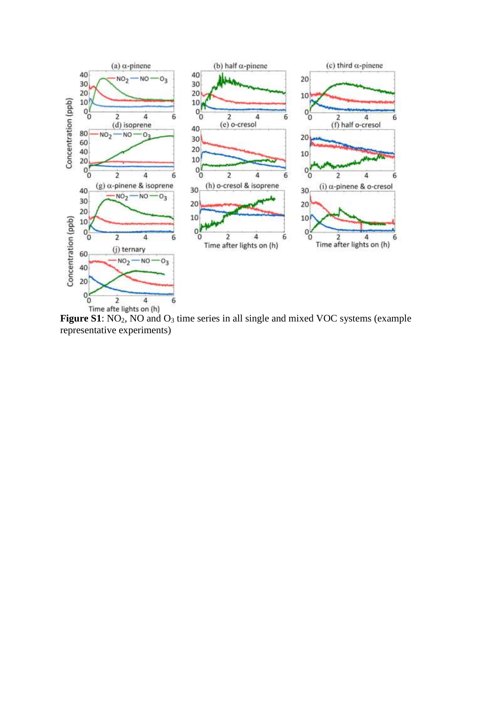

Figure S1: NO<sub>2</sub>, NO and O<sub>3</sub> time series in all single and mixed VOC systems (example representative experiments)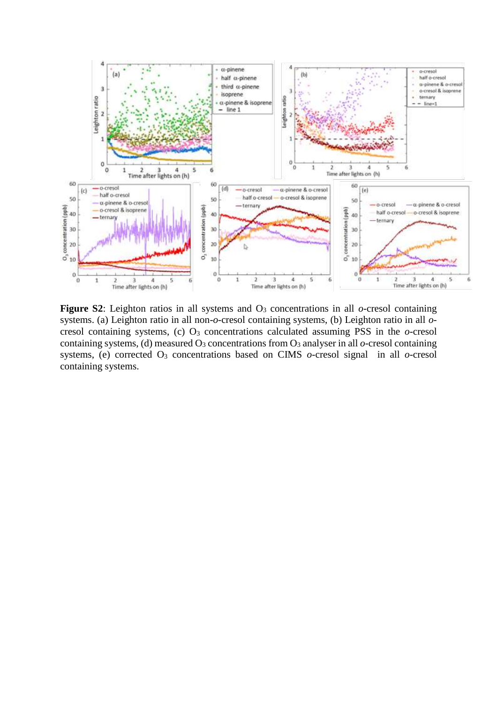

**Figure S2**: Leighton ratios in all systems and  $O_3$  concentrations in all *o*-cresol containing systems. (a) Leighton ratio in all non-*o*-cresol containing systems, (b) Leighton ratio in all *o*cresol containing systems, (c)  $O_3$  concentrations calculated assuming PSS in the  $o$ -cresol containing systems, (d) measured  $O_3$  concentrations from  $O_3$  analyser in all  $o$ -cresol containing systems, (e) corrected O<sup>3</sup> concentrations based on CIMS *o*-cresol signal in all *o*-cresol containing systems.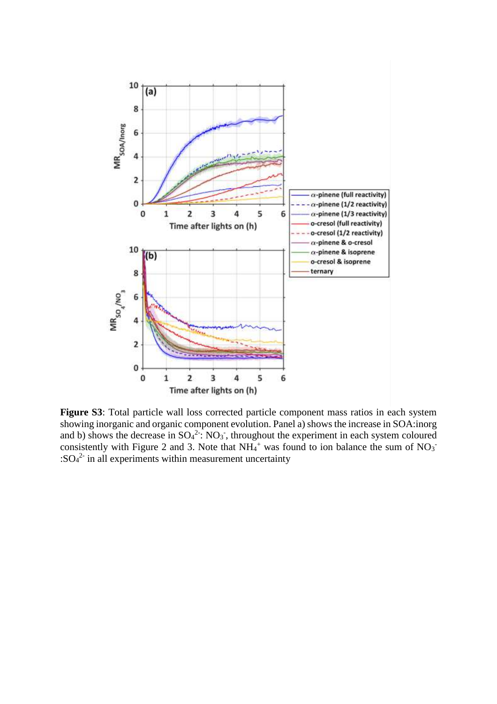

**Figure S3**: Total particle wall loss corrected particle component mass ratios in each system showing inorganic and organic component evolution. Panel a) shows the increase in SOA:inorg and b) shows the decrease in  $SO_4^2$ :  $NO_3$ , throughout the experiment in each system coloured consistently with Figure 2 and 3. Note that  $NH_4$ <sup>+</sup> was found to ion balance the sum of  $NO_3$ <sup>-</sup>  $:SO_4^2$  in all experiments within measurement uncertainty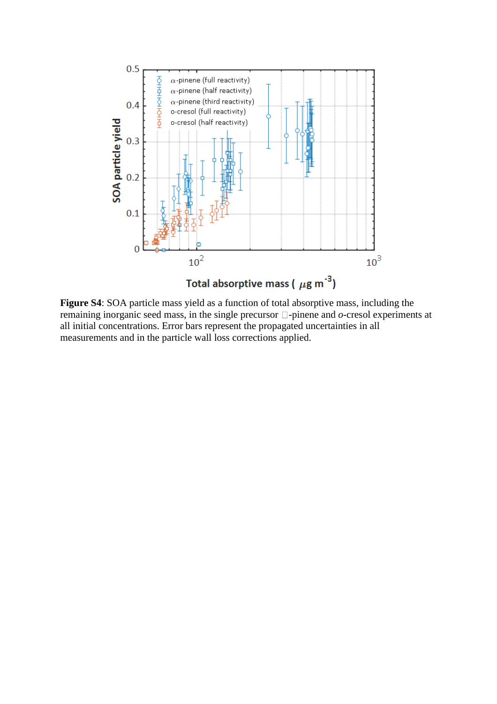

**Figure S4**: SOA particle mass yield as a function of total absorptive mass, including the remaining inorganic seed mass, in the single precursor  $\Box$ -pinene and  $o$ -cresol experiments at all initial concentrations. Error bars represent the propagated uncertainties in all measurements and in the particle wall loss corrections applied.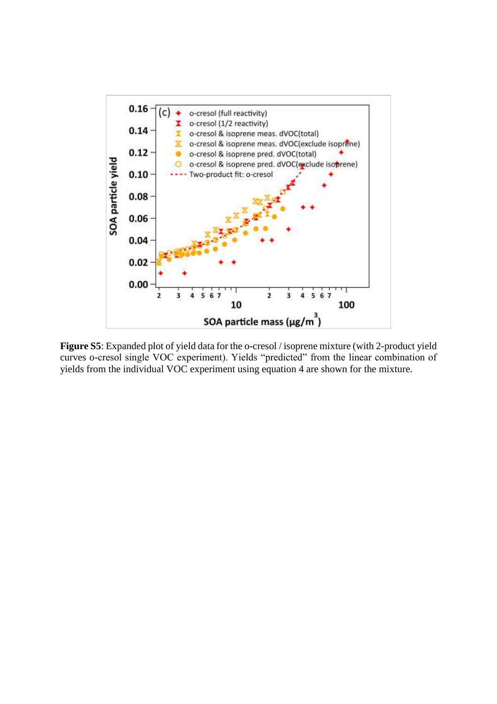

**Figure S5**: Expanded plot of yield data for the o-cresol / isoprene mixture (with 2-product yield curves o-cresol single VOC experiment). Yields "predicted" from the linear combination of yields from the individual VOC experiment using equation 4 are shown for the mixture.